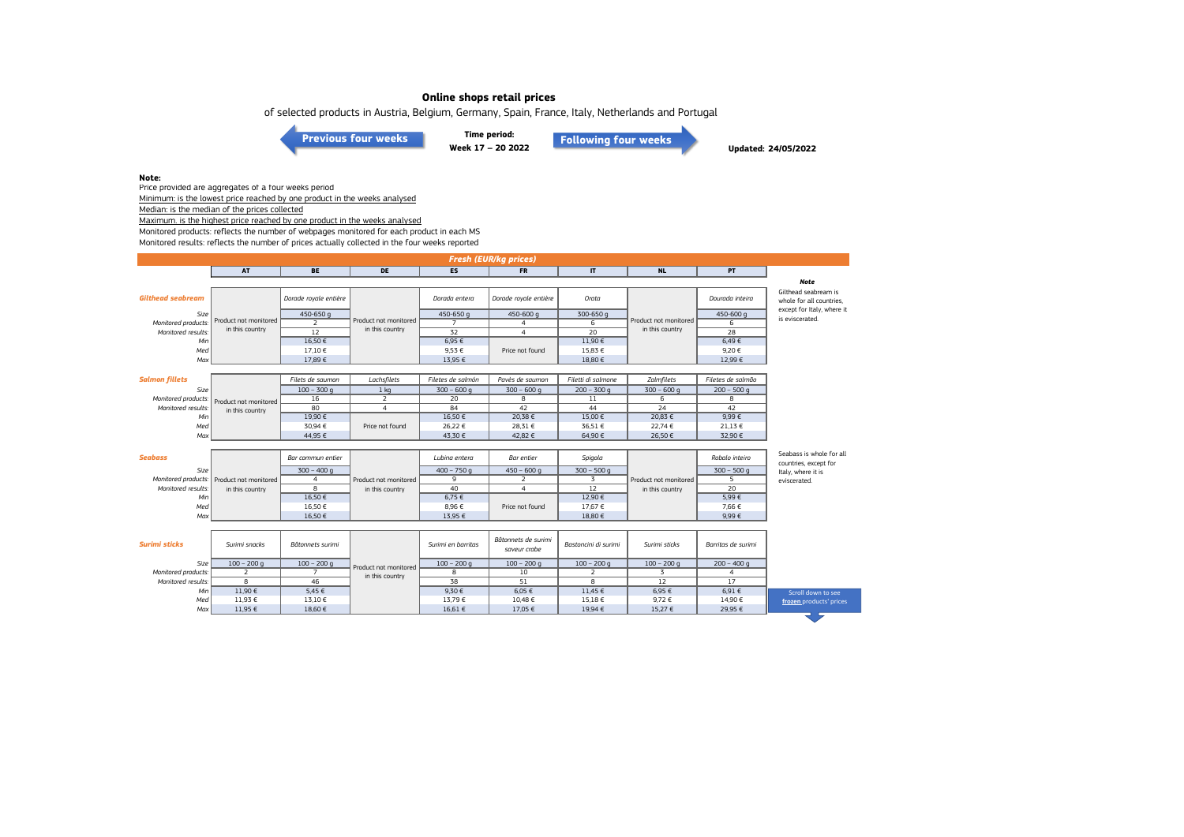of selected products in Austria, Belgium, Germany, Spain, France, Italy, Netherlands and Portugal

**[Previous four weeks](https://www.eumofa.eu/documents/20178/487668/W13-16_2022.pdf/1808f088-9e2c-07aa-184d-58f0892cfaef?t=1651047786408)**

**Time period: Week 17 – 20 2022 [Following four weeks](https://www.eumofa.eu/documents/20178/487668/W21-24_2022.pdf/8b9657ca-eb1a-1f26-fd8c-ffd75ffdacfa?t=1655889390924)**

**Updated: 24/05/2022**

#### **Note:**

Price provided are aggregates of a four weeks period Minimum: is the lowest price reached by one product in the weeks analysed

Median: is the median of the prices collected

Maximum. is the highest price reached by one product in the weeks analysed

Monitored products: reflects the number of webpages monitored for each product in each MS

Monitored results: reflects the number of prices actually collected in the four weeks reported

| <b>Fresh (EUR/kg prices)</b> |                       |                       |                       |                    |                                     |                      |                       |                    |                                                   |  |
|------------------------------|-----------------------|-----------------------|-----------------------|--------------------|-------------------------------------|----------------------|-----------------------|--------------------|---------------------------------------------------|--|
|                              | <b>AT</b>             | <b>BE</b>             | <b>DE</b>             | <b>ES</b>          | <b>FR</b>                           | $\mathbf{I}$         | <b>NL</b>             | <b>PT</b>          |                                                   |  |
|                              |                       |                       |                       |                    |                                     |                      |                       |                    | <b>Note</b>                                       |  |
| <b>Gilthead seabream</b>     |                       | Dorade royale entière |                       | Dorada entera      | Dorade royale entière               | Orata                |                       | Dourada inteira    | Gilthead seabream is<br>whole for all countries.  |  |
| Size                         |                       | 450-650 g             |                       | 450-650 g          | 450-600 g                           | 300-650 g            |                       | 450-600 g          | except for Italy, where it                        |  |
| Monitored products:          | Product not monitored | $\overline{z}$        | Product not monitored | $\overline{7}$     | $\overline{4}$                      | 6                    | Product not monitored | 6                  | is eviscerated.                                   |  |
| Monitored results:           | in this country       | $\overline{12}$       | in this country       | $\overline{32}$    | $\overline{4}$                      | $\overline{20}$      | in this country       | $\overline{28}$    |                                                   |  |
| Min                          |                       | 16,50€                |                       | 6,95 €             |                                     | 11,90 €              |                       | $6,49 \in$         |                                                   |  |
| Med                          |                       | 17,10€                |                       | 9,53 €             | Price not found                     | 15,83 €              |                       | 9,20€              |                                                   |  |
| Max                          |                       | 17,89€                |                       | 13,95 €            |                                     | 18,80 €              |                       | 12,99€             |                                                   |  |
|                              |                       |                       |                       |                    |                                     |                      |                       |                    |                                                   |  |
| <b>Salmon fillets</b>        |                       | Filets de saumon      | Lachsfilets           | Filetes de salmón  | Pavès de saumon                     | Filetti di salmone   | Zalmfilets            | Filetes de salmão  |                                                   |  |
| Size                         |                       | $100 - 300 g$         | 1 <sub>kq</sub>       | $300 - 600$ q      | $300 - 600$ q                       | $200 - 300$ q        | $300 - 600q$          | $200 - 500$ q      |                                                   |  |
| Monitored products:          | Product not monitored | 16                    | $\overline{2}$        | $\overline{20}$    | 8                                   | 11                   | 6                     | 8                  |                                                   |  |
| Monitored results:           | in this country       | 80                    | $\overline{4}$        | 84                 | 42                                  | 44                   | 24                    | 42                 |                                                   |  |
| Min                          |                       | 19.90€                |                       | 16.50€             | 20.38€                              | 15.00 €              | 20.83€                | 9.99E              |                                                   |  |
| Med                          |                       | 30.94 €               | Price not found       | 26,22 €            | 28,31 €                             | 36,51 €              | 22,74€                | 21,13 €            |                                                   |  |
| Max                          |                       | 44,95 €               |                       | 43,30 €            | 42,82 €                             | 64,90€               | 26,50€                | 32,90 €            |                                                   |  |
|                              |                       |                       |                       |                    |                                     |                      |                       |                    |                                                   |  |
| <b>Seabass</b>               |                       | Bar commun entier     |                       | Lubina entera      | <b>Bar</b> entier                   | Spigola              |                       | Robalo inteiro     | Seabass is whole for all<br>countries, except for |  |
| Size                         |                       | $300 - 400q$          |                       | $400 - 750q$       | $450 - 600q$                        | $300 - 500$ q        |                       | $300 - 500$ q      | Italy, where it is                                |  |
| Monitored products:          | Product not monitored | $\overline{4}$        | Product not monitored | 9                  | 2                                   | $\overline{3}$       | Product not monitored | 5                  | eviscerated.                                      |  |
| Monitored results:           | in this country       | 8                     | in this country       | 40                 | $\overline{4}$                      | 12                   | in this country       | 20                 |                                                   |  |
| Min                          |                       | 16,50€                |                       | 6,75 €             |                                     | 12,90 €              |                       | 5,99€              |                                                   |  |
| Med                          |                       | 16,50€                |                       | 8,96€              | Price not found                     | 17,67 €              |                       | 7,66 €             |                                                   |  |
| Max                          |                       | 16,50€                |                       | 13,95 €            |                                     | 18,80 €              |                       | 9,99€              |                                                   |  |
|                              |                       |                       |                       |                    |                                     |                      |                       |                    |                                                   |  |
| <b>Surimi sticks</b>         | Surimi snacks         | Bâtonnets surimi      |                       | Surimi en barritas | Bâtonnets de surimi<br>saveur crabe | Bastoncini di surimi | Surimi sticks         | Barritas de surimi |                                                   |  |
| Size                         | $100 - 200$ q         | $100 - 200$ q         | Product not monitored | $100 - 200$ g      | $100 - 200$ q                       | $100 - 200$ q        | $100 - 200$ q         | $200 - 400$ q      |                                                   |  |
| Monitored products:          | $\overline{2}$        | $\overline{7}$        | in this country       | $\overline{8}$     | 10                                  | $\overline{2}$       | $\overline{3}$        | $\overline{4}$     |                                                   |  |
| Monitored results:           | $\overline{8}$        | 46                    |                       | $\overline{38}$    | 51                                  | $\overline{8}$       | 12                    | 17                 |                                                   |  |
| Min                          | 11,90 €               | 5,45 €                |                       | 9,30€              | 6,05 €                              | 11,45 €              | 6,95 €                | 6,91€              | Scroll down to see                                |  |
| Med                          | 11,93 €               | 13,10 €               |                       | 13,79€             | 10,48 €                             | 15,18 €              | 9,72€                 | 14,90 €            | frozen products' prices                           |  |
| Max                          | 11,95 €               | 18,60 €               |                       | 16.61€             | 17.05 €                             | 19,94 €              | 15,27 €               | 29,95 €            |                                                   |  |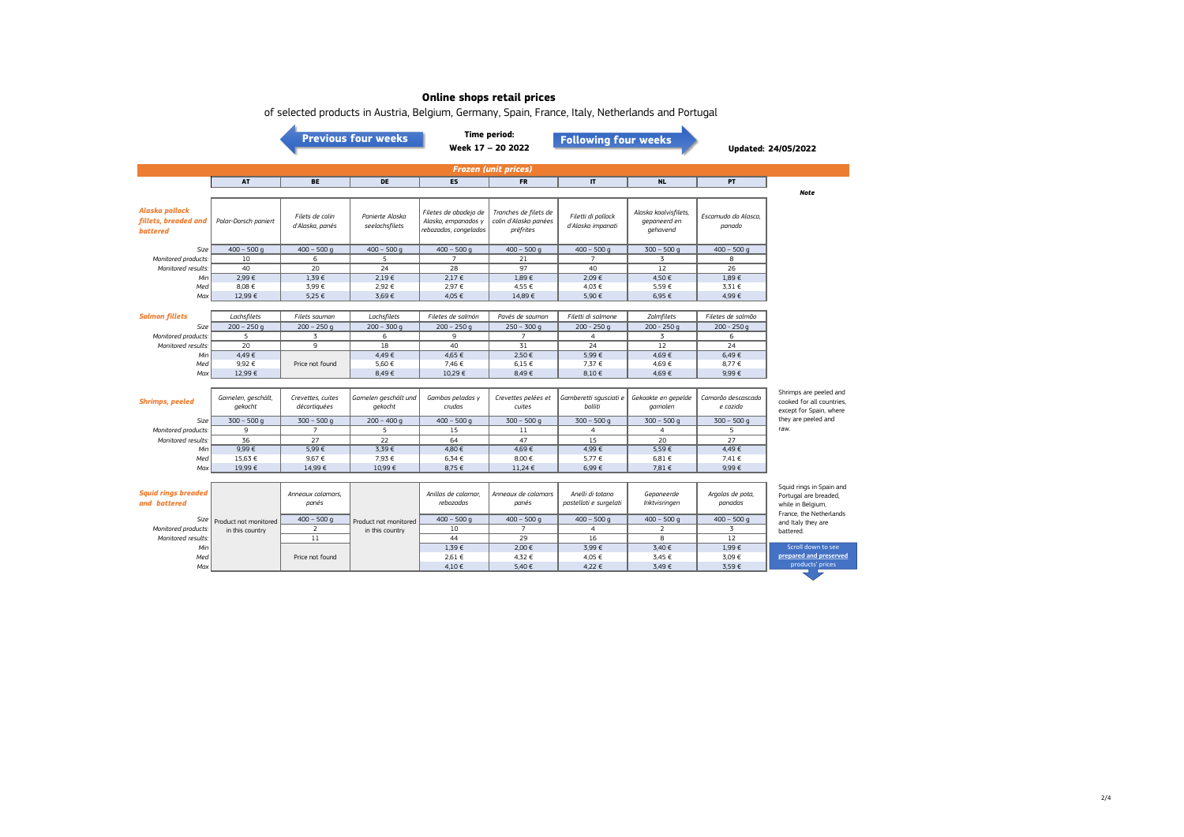|                                            |                                |                                    | <b>Previous four weeks</b>        |                                              | <b>Time period:</b><br>Week 17 - 20 2022       | <b>Following four weeks</b>                |                                       |                                | <b>Updated: 24/05/2022</b>                                                                        |  |
|--------------------------------------------|--------------------------------|------------------------------------|-----------------------------------|----------------------------------------------|------------------------------------------------|--------------------------------------------|---------------------------------------|--------------------------------|---------------------------------------------------------------------------------------------------|--|
| <b>Frozen (unit prices)</b>                |                                |                                    |                                   |                                              |                                                |                                            |                                       |                                |                                                                                                   |  |
|                                            | AT                             | <b>BE</b>                          | <b>DE</b>                         | ES                                           | <b>FR</b>                                      | $\mathbf{I}$                               | <b>NL</b>                             | PT                             |                                                                                                   |  |
| Alaska pollock<br>fillets, breaded and     | Polar-Dorsch paniert           | Filets de colin<br>d'Alaska, panés | Panierte Alaska<br>seelachsfilets | Filetes de abadejo de<br>Alaska, empanados y | Tranches de filets de<br>colin d'Alaska panées | Filetti di pollack<br>d'Alaska impanati    | Alaska koolvisfilets,<br>gepaneerd en | Escamudo do Alasca.<br>panado  | <b>Note</b>                                                                                       |  |
| <b>battered</b>                            |                                |                                    |                                   | rebozados, congelados                        | préfrites                                      |                                            | gehavend                              |                                |                                                                                                   |  |
| Size                                       | $400 - 500$ q                  | $400 - 500q$                       | $400 - 500$ g                     | $400 - 500$ q                                | $400 - 500$ q                                  | $400 - 500$ q                              | $300 - 500$ q                         | $400 - 500$ g                  |                                                                                                   |  |
| Monitored products.                        | 10                             | 6                                  | 5                                 | $\overline{7}$                               | 21                                             | $\overline{7}$                             | 3                                     | 8                              |                                                                                                   |  |
| Monitored results.                         | 40                             | 20                                 | 24                                | 28                                           | 97                                             | 40                                         | 12                                    | 26                             |                                                                                                   |  |
| Min                                        | 2.99€                          | 1.39€                              | 2.19€                             | $2.17 \in$                                   | 1.89€                                          | 2.09€                                      | 4,50 €                                | 1.89€                          |                                                                                                   |  |
| Med                                        | 8,08€                          | 3,99€                              | 2,92 €                            | 2,97 €                                       | 4,55 €                                         | 4,03 €                                     | 5,59€                                 | 3,31 €                         |                                                                                                   |  |
| Max                                        | 12,99 €                        | 5,25 €                             | 3,69€                             | 4,05 €                                       | 14,89€                                         | 5,90 €                                     | 6,95 €                                | 4,99€                          |                                                                                                   |  |
|                                            |                                |                                    |                                   |                                              |                                                |                                            |                                       |                                |                                                                                                   |  |
| <b>Salmon fillets</b>                      | Lachsfilets                    | Filets saumon                      | Lachsfilets                       | Filetes de salmón                            | Pavés de saumon                                | Filetti di salmone                         | Zalmfilets                            | Filetes de salmão              |                                                                                                   |  |
| Size                                       | $200 - 250$ g                  | $200 - 250q$                       | $200 - 300 g$                     | $200 - 250$ q                                | $250 - 300 g$                                  | $200 - 250g$                               | $200 - 250q$                          | $200 - 250g$                   |                                                                                                   |  |
| Monitored products:                        | 5                              | 3                                  | 6                                 | 9                                            | $\overline{7}$                                 | $\overline{4}$                             | 3                                     | 6                              |                                                                                                   |  |
| Monitored results:                         | 20                             | 9                                  | 18                                | 40                                           | 31                                             | 24                                         | 12                                    | 24                             |                                                                                                   |  |
| Min                                        | 4.49€                          |                                    | 4.49€                             | 4.65 €                                       | 2.50€                                          | 5.99€                                      | 4.69€                                 | 6.49E                          |                                                                                                   |  |
| Med                                        | 9.92€                          | Price not found                    | 5.60€                             | 7.46 €                                       | 6.15€                                          | 7.37 €                                     | 4,69 €                                | 8.77 €                         |                                                                                                   |  |
| Max                                        | 12.99€                         |                                    | 8.49€                             | 10.29€                                       | 8.49€                                          | 8.10€                                      | 4.69€                                 | 9.99E                          |                                                                                                   |  |
| <b>Shrimps, peeled</b>                     | Garnelen, geschält,<br>gekocht | Crevettes, cuites<br>décortiquées  | Garnelen geschält und<br>gekocht  | Gambas peladas y<br>crudas                   | Crevettes pelées et<br>cuites                  | Gamberetti squsciati e<br>bolliti          | Gekookte en gepelde<br>garnalen       | Camarão descascado<br>e cozido | Shrimps are peeled and<br>cooked for all countries.<br>except for Spain, where                    |  |
| Size                                       | $300 - 500$ q                  | $300 - 500$ q                      | $200 - 400$ a                     | $400 - 500$ q                                | $300 - 500$ q                                  | $300 - 500$ q                              | $300 - 500$ q                         | $300 - 500$ q                  | they are peeled and                                                                               |  |
| Monitored products.                        | 9                              | $\overline{7}$                     | 5                                 | 15                                           | 11                                             | $\overline{4}$                             | $\overline{4}$                        | 5                              | raw.                                                                                              |  |
| Monitored results:                         | 36                             | 27                                 | 22                                | 64                                           | 47                                             | 15                                         | 20                                    | 27                             |                                                                                                   |  |
| Min                                        | 9.99E                          | 5.99€                              | 3.39€                             | 4.80 €                                       | 4.69€                                          | 4.99€                                      | 5.59€                                 | 4.49€                          |                                                                                                   |  |
| Med                                        | 15.63 €                        | 9.67€                              | 7.93 €                            | 6.34 €                                       | 8.00€                                          | 5.77 €                                     | 6.81 €                                | 7.41 €                         |                                                                                                   |  |
| Max                                        | 19,99€                         | 14,99€                             | 10,99€                            | 8,75 €                                       | 11,24 €                                        | 6,99€                                      | 7,81 €                                | $9.99 \in$                     |                                                                                                   |  |
| <b>Squid rings breaded</b><br>and battered |                                | Annegux calamars.<br>panés         |                                   | Anillas de calamar<br>rebozadas              | Annegux de calamars<br>panés                   | Anelli di totano<br>pastellati e surgelati | Gepaneerde<br>Inktvisringen           | Argolas de pota,<br>panadas    | Squid rings in Spain and<br>Portugal are breaded,<br>while in Belgium,<br>France, the Netherlands |  |
| Size                                       | Product not monitored          | $400 - 500$ g                      | Product not monitored             | $400 - 500$ g                                | $400 - 500$ g                                  | $400 - 500$ q                              | $400 - 500$ g                         | $400 - 500$ g                  | and Italy they are                                                                                |  |
| Monitored products:                        | in this country                | $\overline{2}$                     | in this country                   | 10                                           | $\overline{7}$                                 | $\overline{4}$                             | $\overline{2}$                        | $\overline{3}$                 | battered.                                                                                         |  |
| Monitored results:                         |                                | 11                                 |                                   | 44                                           | 29                                             | 16                                         | $\mathbf{a}$                          | 12                             |                                                                                                   |  |
| Min                                        |                                |                                    |                                   | 1,39€                                        | 2,00 €                                         | 3.99€                                      | 3,40 €                                | 1,99€                          | Scroll down to see                                                                                |  |
| Med                                        |                                | Price not found                    |                                   | 2.61 €                                       | 4.32 €                                         | 4.05 €                                     | 3.45 €                                | 3.09 €                         | prepared and preserved                                                                            |  |
| Max                                        |                                |                                    |                                   | 4,10€                                        | 5,40€                                          | 4,22 €                                     | 3,49€                                 | 3,59€                          | products' prices                                                                                  |  |

of selected products in Austria, Belgium, Germany, Spain, France, Italy, Netherlands and Portugal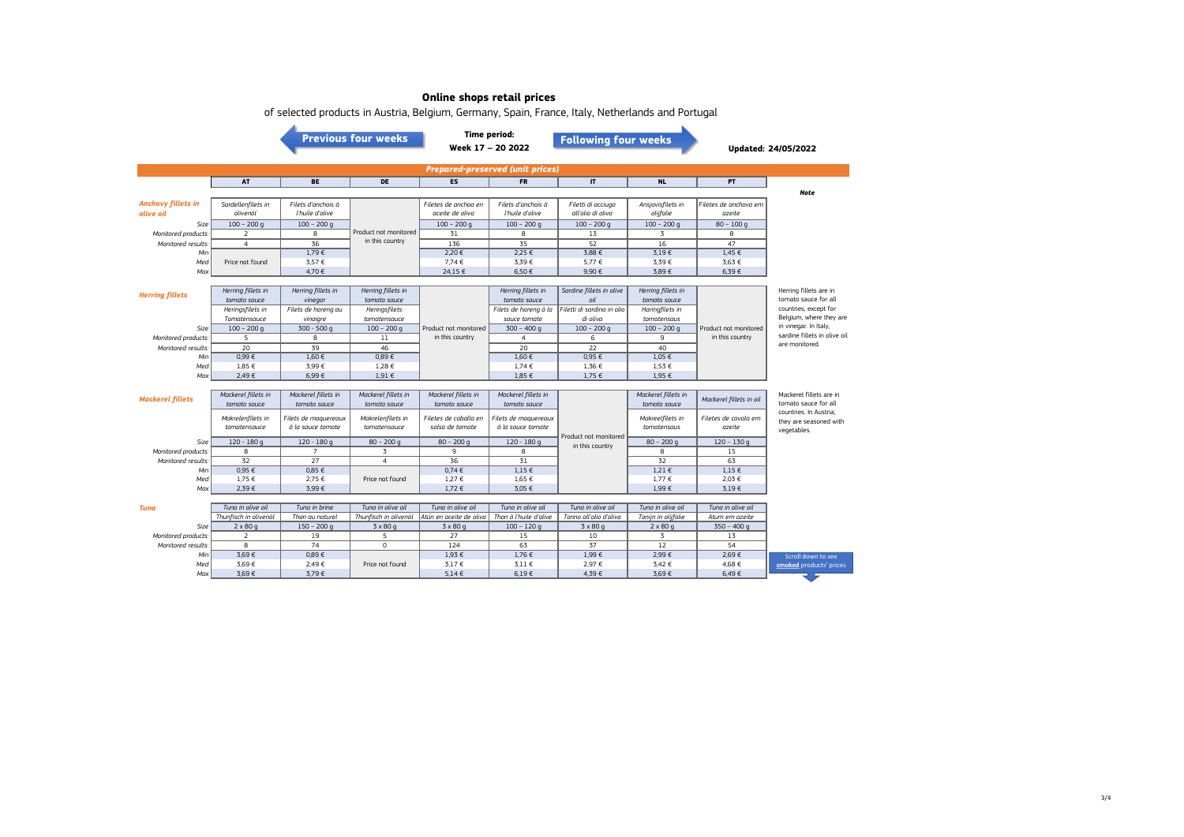|                                         | belected products in mastrial belgiant, demiantly, spain, mance, nary, method and a bridge<br><b>Previous four weeks</b> |                      |                       |                         | <b>Time period:</b><br><b>Following four weeks</b><br>Week 17 - 20 2022 |                                          |                     | <b>Updated: 24/05/2022</b> |                              |  |  |
|-----------------------------------------|--------------------------------------------------------------------------------------------------------------------------|----------------------|-----------------------|-------------------------|-------------------------------------------------------------------------|------------------------------------------|---------------------|----------------------------|------------------------------|--|--|
| <b>Prepared-preserved (unit prices)</b> |                                                                                                                          |                      |                       |                         |                                                                         |                                          |                     |                            |                              |  |  |
|                                         | AT                                                                                                                       | <b>BE</b>            | <b>DE</b>             | <b>ES</b>               | <b>FR</b>                                                               | $\mathbf{I}$                             | <b>NL</b>           | PT.                        |                              |  |  |
|                                         |                                                                                                                          |                      |                       |                         |                                                                         |                                          |                     |                            | <b>Note</b>                  |  |  |
| <b>Anchovy fillets in</b>               | Sardellenfilets in                                                                                                       | Filets d'anchois à   |                       | Filetes de anchoa en    | Filets d'anchois à                                                      | Filetti di acciuga                       | Ansjovisfilets in   | Filetes de anchova em      |                              |  |  |
| olive oil                               | olivenöl                                                                                                                 | l'huile d'olive      |                       | aceite de oliva         | l'huile d'olive                                                         | all'olio di oliva                        | olijfolie           | azeite                     |                              |  |  |
| Size                                    | $100 - 200$ q                                                                                                            | $100 - 200$ q        |                       | $100 - 200$ q           | $100 - 200$ q                                                           | $100 - 200$ q                            | $100 - 200$ q       | $80 - 100q$                |                              |  |  |
| Monitored products:                     | 2                                                                                                                        | 8                    | Product not monitored | 31                      | 8                                                                       | 13                                       | 3                   | 8                          |                              |  |  |
| Monitored results:                      | $\overline{4}$                                                                                                           | 36                   | in this country       | 136                     | 35                                                                      | 52                                       | 16                  | 47                         |                              |  |  |
| Min                                     |                                                                                                                          | 1,79€                |                       | 2,20 €                  | 2,25 €                                                                  | 3,88 €                                   | 3,19€               | 1,45 €                     |                              |  |  |
| Med                                     | Price not found                                                                                                          | 3,57 €               |                       | 7,74 €                  | 3,39€                                                                   | 5,77 €                                   | 3,39€               | 3,63 €                     |                              |  |  |
| Max                                     |                                                                                                                          | 4,70€                |                       | 24,15 €                 | 6,50€                                                                   | 9,90€                                    | 3,89€               | 6,39€                      |                              |  |  |
|                                         |                                                                                                                          |                      |                       |                         |                                                                         |                                          |                     |                            |                              |  |  |
| <b>Herring fillets</b>                  | Herring fillets in                                                                                                       | Herring fillets in   | Herring fillets in    |                         | Herring fillets in                                                      | Sardine fillets in olive                 | Herring fillets in  |                            | Herring fillets are in       |  |  |
|                                         | tomato sauce                                                                                                             | vinegar              | tomato sauce          |                         | tomato sauce                                                            | oil                                      | tomato sauce        |                            | tomato sauce for all         |  |  |
|                                         | Heringsfilets in                                                                                                         | Filets de hareng au  | Heringsfilets         |                         | Filets de harena à la                                                   | Filetti di sardina in olio               | Haringfilets in     |                            | countries, except for        |  |  |
|                                         | Tomatensauce                                                                                                             | vinaigre             | tomatensauce          |                         | sauce tomate                                                            | di oliva                                 | tomatensaus         |                            | Belgium, where they are      |  |  |
| Size                                    | $100 - 200$ q                                                                                                            | $300 - 500q$         | $100 - 200$ q         | Product not monitored   | $300 - 400q$                                                            | $100 - 200$ q                            | $100 - 200$ q       | Product not monitored      | in vinegar. In Italy,        |  |  |
| Monitored products:                     | 5                                                                                                                        | 8                    | 11                    | in this country         | $\overline{4}$                                                          | 6                                        | 9                   | in this country            | sardine fillets in olive oil |  |  |
| Monitored results:                      | 20                                                                                                                       | 39                   | 46                    |                         | 20                                                                      | 22                                       | 40                  |                            | are monitored.               |  |  |
| Min                                     | 0,99E                                                                                                                    | 1,60€                | 0,89E                 |                         | 1,60€                                                                   | 0,95€                                    | 1,05 €              |                            |                              |  |  |
| Med                                     | 1,85 €                                                                                                                   | 3,99€                | 1,28 €                |                         | 1,74 €                                                                  | 1,36 €                                   | 1,53 €              |                            |                              |  |  |
| Max                                     | 2,49€                                                                                                                    | 6,99€                | 1,91 €                |                         | 1,85 €                                                                  | 1,75 €                                   | 1,95 €              |                            |                              |  |  |
|                                         |                                                                                                                          |                      |                       |                         |                                                                         |                                          |                     |                            |                              |  |  |
|                                         | Mackerel fillets in                                                                                                      | Mackerel fillets in  | Mackerel fillets in   | Mackerel fillets in     | Mackerel fillets in                                                     |                                          | Mackerel fillets in |                            | Mackerel fillets are in      |  |  |
| <b>Mackerel fillets</b>                 | tomato sauce                                                                                                             | tomato sauce         | tomato sauce          | tomato sauce            | tomato sauce                                                            |                                          | tomato sauce        | Mackerel fillets in oil    | tomato sauce for all         |  |  |
|                                         |                                                                                                                          |                      |                       |                         |                                                                         |                                          |                     |                            | countries. In Austria.       |  |  |
|                                         | Makrelenfilets in                                                                                                        | Filets de maquereaux | Makrelenfilets in     | Filetes de caballa en   | Filets de maguereaux                                                    |                                          | Makreelfilets in    | Filetes de cavala em       | they are seasoned with       |  |  |
|                                         | tomatensauce                                                                                                             | à la sauce tomate    | tomatensauce          | salsa de tomate         | à la sauce tomate                                                       |                                          | tomatensaus         | azeite                     | vegetables.                  |  |  |
| Size                                    | $120 - 180q$                                                                                                             | $120 - 180q$         | $80 - 200$ g          | $80 - 200$ q            | $120 - 180q$                                                            | Product not monitored<br>in this country | $80 - 200$ q        | $120 - 130q$               |                              |  |  |
| Monitored products:                     | 8                                                                                                                        | $\overline{7}$       | 3                     | 9                       | 8                                                                       |                                          | 8                   | 15                         |                              |  |  |
| Monitored results:                      | 32                                                                                                                       | 27                   | 4                     | 36                      | 31                                                                      |                                          | 32                  | 63                         |                              |  |  |
| Min                                     | 0.95 €                                                                                                                   | $0.85 \in$           |                       | 0.74E                   | $1.15 \in$                                                              |                                          | $1.21 \in$          | $1.15 \in$                 |                              |  |  |
| Med                                     | 1,75 €                                                                                                                   | 2,75 €               | Price not found       | $1,27 \in$              | $1,65 \in$                                                              |                                          | 1,77 €              | 2,03 €                     |                              |  |  |
| Max                                     | 2,39€                                                                                                                    | 3,99€                |                       | 1,72€                   | 3,05 €                                                                  |                                          | 1,99€               | 3.19E                      |                              |  |  |
|                                         |                                                                                                                          |                      |                       |                         |                                                                         |                                          |                     |                            |                              |  |  |
| Tuna                                    | Tuna in olive oil                                                                                                        | Tung in brine        | Tung in olive oil     | Tung in olive oil       | Tuna in olive oil                                                       | Tung in olive oil                        | Tung in olive oil   | Tuna in olive oil          |                              |  |  |
|                                         | Thunfisch in olivenöl                                                                                                    | Thon au naturel      | Thunfisch in olivenöl | Atún en aceite de oliva | Thon à l'huile d'olive                                                  | Tonno all'olio d'oliva                   | Tonijn in olijfolie | Atum em azeite             |                              |  |  |
| Size                                    | $2 \times 80q$                                                                                                           | $150 - 200$ q        | $3 \times 80$ g       | $3 \times 80$ g         | $100 - 120q$                                                            | $3 \times 80q$                           | $2 \times 80q$      | $350 - 400$ q              |                              |  |  |
| Monitored products:                     | 2                                                                                                                        | 19                   | 5                     | 27                      | 15                                                                      | 10                                       | 3                   | 13                         |                              |  |  |
| Monitored results:                      | $\overline{8}$                                                                                                           | 74                   | $\overline{0}$        | 124                     | 63                                                                      | $\overline{37}$                          | 12                  | 54                         |                              |  |  |
| Min                                     | 3,69€                                                                                                                    | $0,89 \in$           |                       | 1,93 €                  | 1,76 €                                                                  | 1,99€                                    | 2,99€               | 2,69€                      | Scroll down to see           |  |  |
| Med                                     | 3,69€                                                                                                                    | 2,49€                | Price not found       | 3.17 €                  | $3.11 \in$                                                              | 2,97 €                                   | 3,42 €              | 4,68 €                     | smoked products' prices      |  |  |
| Max                                     | 3,69€                                                                                                                    | 3,79€                |                       | $5.14 \in$              | 6,19€                                                                   | 4,39€                                    | 3,69€               | 6,49€                      |                              |  |  |

of selected products in Austria, Belgium, Germany, Spain, France, Italy, Netherlands and Portugal